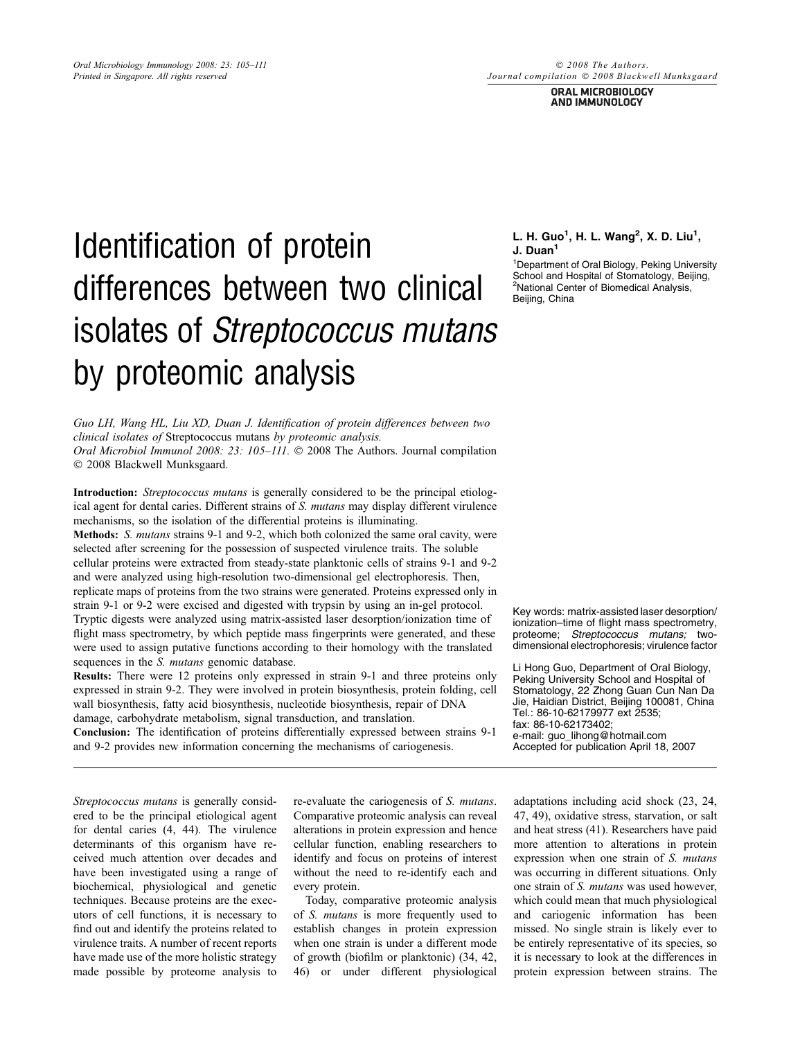#### © 2008 The Authors. Journal compilation © 2008 Blackwell Munksgaara

ORAL MICROBIOLOGY AND IMMUNOLOGY

# Identification of protein differences between two clinical isolates of Streptococcus mutans by proteomic analysis

Guo LH, Wang HL, Liu XD, Duan J. Identification of protein differences between two clinical isolates of Streptococcus mutans by proteomic analysis. Oral Microbiol Immunol 2008: 23: 105-111. © 2008 The Authors. Journal compilation - 2008 Blackwell Munksgaard.

Introduction: Streptococcus mutans is generally considered to be the principal etiological agent for dental caries. Different strains of S. mutans may display different virulence mechanisms, so the isolation of the differential proteins is illuminating. Methods: *S. mutans* strains 9-1 and 9-2, which both colonized the same oral cavity, were selected after screening for the possession of suspected virulence traits. The soluble cellular proteins were extracted from steady-state planktonic cells of strains 9-1 and 9-2 and were analyzed using high-resolution two-dimensional gel electrophoresis. Then, replicate maps of proteins from the two strains were generated. Proteins expressed only in strain 9-1 or 9-2 were excised and digested with trypsin by using an in-gel protocol. Tryptic digests were analyzed using matrix-assisted laser desorption/ionization time of flight mass spectrometry, by which peptide mass fingerprints were generated, and these were used to assign putative functions according to their homology with the translated sequences in the *S. mutans* genomic database.

Results: There were 12 proteins only expressed in strain 9-1 and three proteins only expressed in strain 9-2. They were involved in protein biosynthesis, protein folding, cell wall biosynthesis, fatty acid biosynthesis, nucleotide biosynthesis, repair of DNA damage, carbohydrate metabolism, signal transduction, and translation.

Conclusion: The identification of proteins differentially expressed between strains 9-1 and 9-2 provides new information concerning the mechanisms of cariogenesis.

L. H. Guo<sup>1</sup>, H. L. Wang<sup>2</sup>, X. D. Liu<sup>1</sup>, J. Duan<sup>1</sup>

1 Department of Oral Biology, Peking University School and Hospital of Stomatology, Beijing, 2 National Center of Biomedical Analysis, Beijing, China

Key words: matrix-assisted laser desorption/ ionization–time of flight mass spectrometry, proteome; Streptococcus mutans; twodimensional electrophoresis; virulence factor

Li Hong Guo, Department of Oral Biology, Peking University School and Hospital of Stomatology, 22 Zhong Guan Cun Nan Da Jie, Haidian District, Beijing 100081, China Tel.: 86-10-62179977 ext 2535; fax: 86-10-62173402; e-mail: guo\_lihong@hotmail.com Accepted for publication April 18, 2007

Streptococcus mutans is generally considered to be the principal etiological agent for dental caries (4, 44). The virulence determinants of this organism have received much attention over decades and have been investigated using a range of biochemical, physiological and genetic techniques. Because proteins are the executors of cell functions, it is necessary to find out and identify the proteins related to virulence traits. A number of recent reports have made use of the more holistic strategy made possible by proteome analysis to

re-evaluate the cariogenesis of S. mutans. Comparative proteomic analysis can reveal alterations in protein expression and hence cellular function, enabling researchers to identify and focus on proteins of interest without the need to re-identify each and every protein.

Today, comparative proteomic analysis of S. mutans is more frequently used to establish changes in protein expression when one strain is under a different mode of growth (biofilm or planktonic) (34, 42, 46) or under different physiological

adaptations including acid shock (23, 24, 47, 49), oxidative stress, starvation, or salt and heat stress (41). Researchers have paid more attention to alterations in protein expression when one strain of S. mutans was occurring in different situations. Only one strain of S. mutans was used however, which could mean that much physiological and cariogenic information has been missed. No single strain is likely ever to be entirely representative of its species, so it is necessary to look at the differences in protein expression between strains. The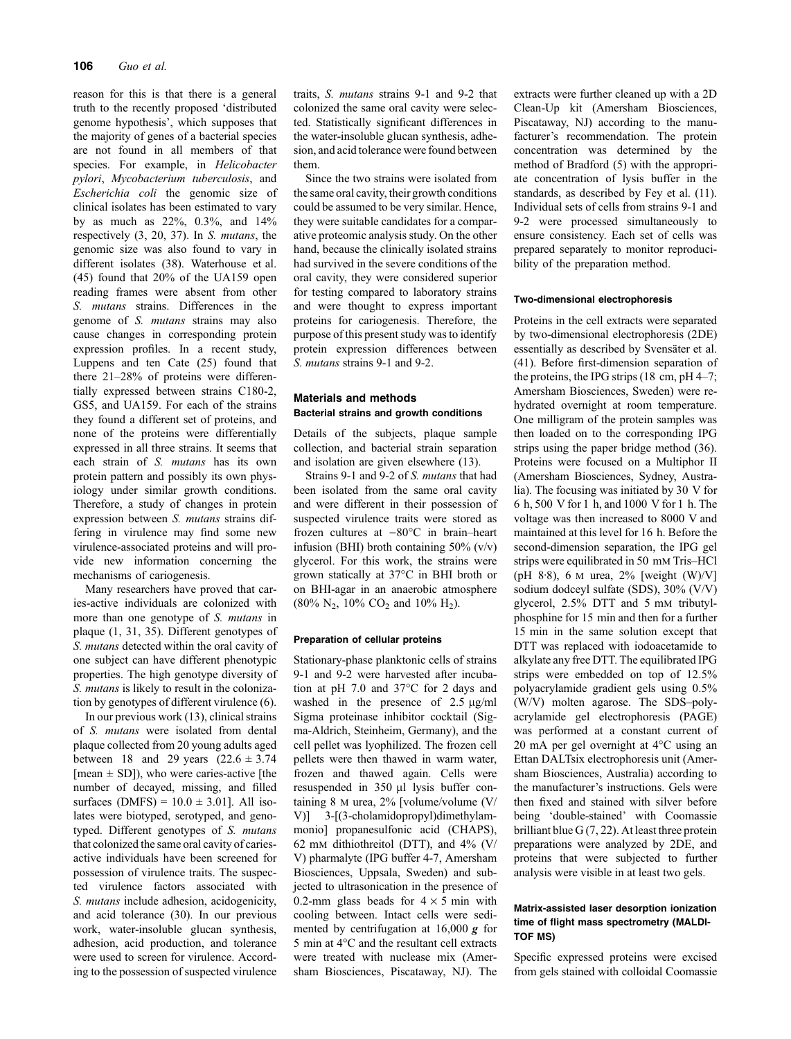reason for this is that there is a general truth to the recently proposed 'distributed genome hypothesis', which supposes that the majority of genes of a bacterial species are not found in all members of that species. For example, in Helicobacter pylori, Mycobacterium tuberculosis, and Escherichia coli the genomic size of clinical isolates has been estimated to vary by as much as 22%, 0.3%, and 14% respectively (3, 20, 37). In S. mutans, the genomic size was also found to vary in different isolates (38). Waterhouse et al. (45) found that 20% of the UA159 open reading frames were absent from other S. mutans strains. Differences in the genome of S. mutans strains may also cause changes in corresponding protein expression profiles. In a recent study, Luppens and ten Cate (25) found that there 21–28% of proteins were differentially expressed between strains C180-2, GS5, and UA159. For each of the strains they found a different set of proteins, and none of the proteins were differentially expressed in all three strains. It seems that each strain of S. mutans has its own protein pattern and possibly its own physiology under similar growth conditions. Therefore, a study of changes in protein expression between S. mutans strains differing in virulence may find some new virulence-associated proteins and will provide new information concerning the mechanisms of cariogenesis.

Many researchers have proved that caries-active individuals are colonized with more than one genotype of S. mutans in plaque (1, 31, 35). Different genotypes of S. mutans detected within the oral cavity of one subject can have different phenotypic properties. The high genotype diversity of S. mutans is likely to result in the colonization by genotypes of different virulence (6).

In our previous work (13), clinical strains of S. mutans were isolated from dental plaque collected from 20 young adults aged between 18 and 29 years  $(22.6 \pm 3.74)$ [mean  $\pm$  SD]), who were caries-active [the number of decayed, missing, and filled surfaces (DMFS) =  $10.0 \pm 3.01$ ]. All isolates were biotyped, serotyped, and genotyped. Different genotypes of S. mutans that colonized the same oral cavity of cariesactive individuals have been screened for possession of virulence traits. The suspected virulence factors associated with S. mutans include adhesion, acidogenicity, and acid tolerance (30). In our previous work, water-insoluble glucan synthesis, adhesion, acid production, and tolerance were used to screen for virulence. According to the possession of suspected virulence traits, S. mutans strains 9-1 and 9-2 that colonized the same oral cavity were selected. Statistically significant differences in the water-insoluble glucan synthesis, adhesion, and acid tolerance were found between them.

Since the two strains were isolated from the same oral cavity, their growth conditions could be assumed to be very similar. Hence, they were suitable candidates for a comparative proteomic analysis study. On the other hand, because the clinically isolated strains had survived in the severe conditions of the oral cavity, they were considered superior for testing compared to laboratory strains and were thought to express important proteins for cariogenesis. Therefore, the purpose of this present study was to identify protein expression differences between S. mutans strains 9-1 and 9-2.

# Materials and methods Bacterial strains and growth conditions

Details of the subjects, plaque sample collection, and bacterial strain separation and isolation are given elsewhere (13).

Strains 9-1 and 9-2 of S. mutans that had been isolated from the same oral cavity and were different in their possession of suspected virulence traits were stored as frozen cultures at  $-80^{\circ}$ C in brain–heart infusion (BHI) broth containing  $50\%$  (v/v) glycerol. For this work, the strains were grown statically at 37°C in BHI broth or on BHI-agar in an anaerobic atmosphere  $(80\% N_2, 10\% CO_2 \text{ and } 10\% H_2).$ 

## Preparation of cellular proteins

Stationary-phase planktonic cells of strains 9-1 and 9-2 were harvested after incubation at pH 7.0 and  $37^{\circ}$ C for 2 days and washed in the presence of  $2.5 \mu g/ml$ Sigma proteinase inhibitor cocktail (Sigma-Aldrich, Steinheim, Germany), and the cell pellet was lyophilized. The frozen cell pellets were then thawed in warm water, frozen and thawed again. Cells were resuspended in 350 µl lysis buffer containing 8 m urea, 2% [volume/volume (V/ V)] 3-[(3-cholamidopropyl)dimethylammonio] propanesulfonic acid (CHAPS), 62 mm dithiothreitol (DTT), and 4% (V/ V) pharmalyte (IPG buffer 4-7, Amersham Biosciences, Uppsala, Sweden) and subjected to ultrasonication in the presence of 0.2-mm glass beads for  $4 \times 5$  min with cooling between. Intact cells were sedimented by centrifugation at  $16,000 \, \text{g}$  for 5 min at 4°C and the resultant cell extracts were treated with nuclease mix (Amersham Biosciences, Piscataway, NJ). The extracts were further cleaned up with a 2D Clean-Up kit (Amersham Biosciences, Piscataway, NJ) according to the manufacturer's recommendation. The protein concentration was determined by the method of Bradford (5) with the appropriate concentration of lysis buffer in the standards, as described by Fey et al. (11). Individual sets of cells from strains 9-1 and 9-2 were processed simultaneously to ensure consistency. Each set of cells was prepared separately to monitor reproducibility of the preparation method.

## Two-dimensional electrophoresis

Proteins in the cell extracts were separated by two-dimensional electrophoresis (2DE) essentially as described by Svensäter et al. (41). Before first-dimension separation of the proteins, the IPG strips (18 cm, pH 4–7; Amersham Biosciences, Sweden) were rehydrated overnight at room temperature. One milligram of the protein samples was then loaded on to the corresponding IPG strips using the paper bridge method (36). Proteins were focused on a Multiphor II (Amersham Biosciences, Sydney, Australia). The focusing was initiated by 30 V for 6 h, 500 V for 1 h, and 1000 V for 1 h. The voltage was then increased to 8000 V and maintained at this level for 16 h. Before the second-dimension separation, the IPG gel strips were equilibrated in 50 mm Tris–HCl (pH 8.8), 6 M urea,  $2\%$  [weight (W)/V] sodium dodceyl sulfate (SDS), 30% (V/V) glycerol, 2.5% DTT and 5 mm tributylphosphine for 15 min and then for a further 15 min in the same solution except that DTT was replaced with iodoacetamide to alkylate any free DTT. The equilibrated IPG strips were embedded on top of 12.5% polyacrylamide gradient gels using 0.5% (W/V) molten agarose. The SDS–polyacrylamide gel electrophoresis (PAGE) was performed at a constant current of 20 mA per gel overnight at  $4^{\circ}$ C using an Ettan DALTsix electrophoresis unit (Amersham Biosciences, Australia) according to the manufacturer's instructions. Gels were then fixed and stained with silver before being 'double-stained' with Coomassie brilliant blue G (7, 22). At least three protein preparations were analyzed by 2DE, and proteins that were subjected to further analysis were visible in at least two gels.

# Matrix-assisted laser desorption ionization time of flight mass spectrometry (MALDI-TOF MS)

Specific expressed proteins were excised from gels stained with colloidal Coomassie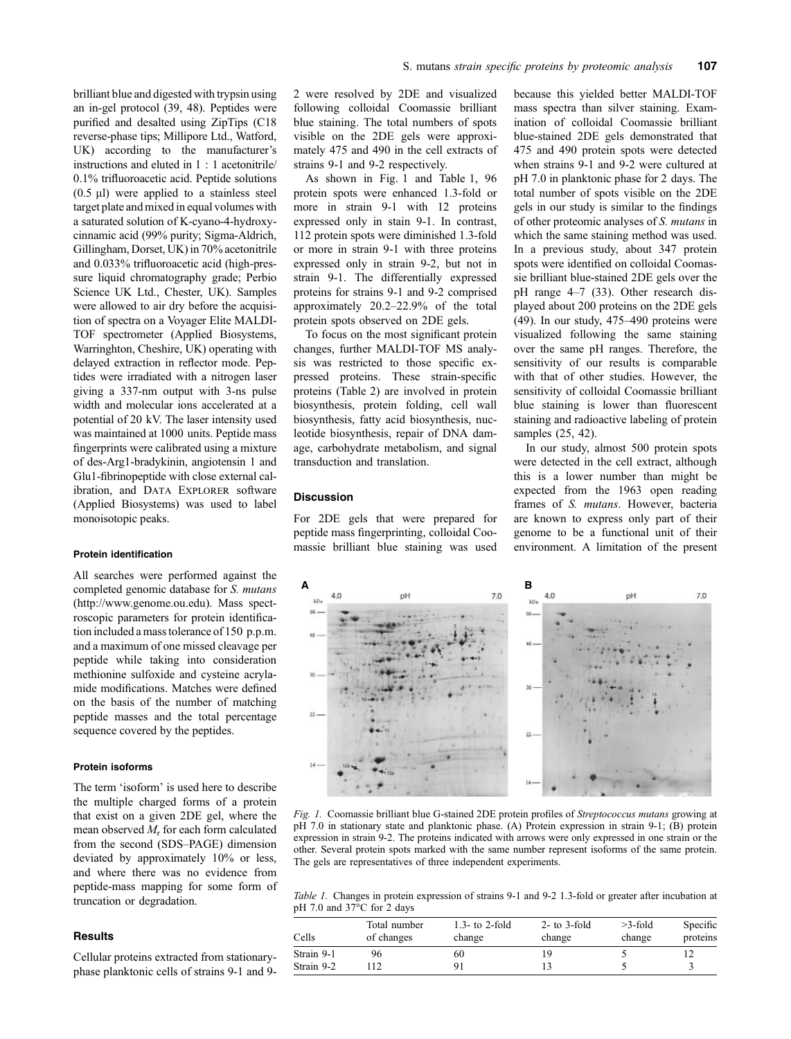brilliant blue and digested with trypsin using an in-gel protocol (39, 48). Peptides were purified and desalted using ZipTips (C18 reverse-phase tips; Millipore Ltd., Watford, UK) according to the manufacturer's instructions and eluted in 1 : 1 acetonitrile/ 0.1% trifluoroacetic acid. Peptide solutions  $(0.5 \mu l)$  were applied to a stainless steel target plate and mixed in equal volumes with a saturated solution of K-cyano-4-hydroxycinnamic acid (99% purity; Sigma-Aldrich, Gillingham, Dorset, UK) in 70% acetonitrile and 0.033% trifluoroacetic acid (high-pressure liquid chromatography grade; Perbio Science UK Ltd., Chester, UK). Samples were allowed to air dry before the acquisition of spectra on a Voyager Elite MALDI-TOF spectrometer (Applied Biosystems, Warringhton, Cheshire, UK) operating with delayed extraction in reflector mode. Peptides were irradiated with a nitrogen laser giving a 337-nm output with 3-ns pulse width and molecular ions accelerated at a potential of 20 kV. The laser intensity used was maintained at 1000 units. Peptide mass fingerprints were calibrated using a mixture of des-Arg1-bradykinin, angiotensin 1 and Glu1-fibrinopeptide with close external calibration, and DATA EXPLORER software (Applied Biosystems) was used to label monoisotopic peaks.

#### Protein identification

All searches were performed against the completed genomic database for S. mutans (http://www.genome.ou.edu). Mass spectroscopic parameters for protein identification included a mass tolerance of 150 p.p.m. and a maximum of one missed cleavage per peptide while taking into consideration methionine sulfoxide and cysteine acrylamide modifications. Matches were defined on the basis of the number of matching peptide masses and the total percentage sequence covered by the peptides.

# Protein isoforms

The term 'isoform' is used here to describe the multiple charged forms of a protein that exist on a given 2DE gel, where the mean observed  $M_r$  for each form calculated from the second (SDS–PAGE) dimension deviated by approximately 10% or less, and where there was no evidence from peptide-mass mapping for some form of truncation or degradation.

# **Results**

Cellular proteins extracted from stationaryphase planktonic cells of strains 9-1 and 92 were resolved by 2DE and visualized following colloidal Coomassie brilliant blue staining. The total numbers of spots visible on the 2DE gels were approximately 475 and 490 in the cell extracts of strains 9-1 and 9-2 respectively.

As shown in Fig. 1 and Table 1, 96 protein spots were enhanced 1.3-fold or more in strain 9-1 with 12 proteins expressed only in stain 9-1. In contrast, 112 protein spots were diminished 1.3-fold or more in strain 9-1 with three proteins expressed only in strain 9-2, but not in strain 9-1. The differentially expressed proteins for strains 9-1 and 9-2 comprised approximately 20.2–22.9% of the total protein spots observed on 2DE gels.

To focus on the most significant protein changes, further MALDI-TOF MS analysis was restricted to those specific expressed proteins. These strain-specific proteins (Table 2) are involved in protein biosynthesis, protein folding, cell wall biosynthesis, fatty acid biosynthesis, nucleotide biosynthesis, repair of DNA damage, carbohydrate metabolism, and signal transduction and translation.

# **Discussion**

For 2DE gels that were prepared for peptide mass fingerprinting, colloidal Coomassie brilliant blue staining was used because this yielded better MALDI-TOF mass spectra than silver staining. Examination of colloidal Coomassie brilliant blue-stained 2DE gels demonstrated that 475 and 490 protein spots were detected when strains 9-1 and 9-2 were cultured at pH 7.0 in planktonic phase for 2 days. The total number of spots visible on the 2DE gels in our study is similar to the findings of other proteomic analyses of S. mutans in which the same staining method was used. In a previous study, about 347 protein spots were identified on colloidal Coomassie brilliant blue-stained 2DE gels over the pH range 4–7 (33). Other research displayed about 200 proteins on the 2DE gels (49). In our study, 475–490 proteins were visualized following the same staining over the same pH ranges. Therefore, the sensitivity of our results is comparable with that of other studies. However, the sensitivity of colloidal Coomassie brilliant blue staining is lower than fluorescent staining and radioactive labeling of protein samples (25, 42).

In our study, almost 500 protein spots were detected in the cell extract, although this is a lower number than might be expected from the 1963 open reading frames of S. mutans. However, bacteria are known to express only part of their genome to be a functional unit of their environment. A limitation of the present



Fig. 1. Coomassie brilliant blue G-stained 2DE protein profiles of Streptococcus mutans growing at pH 7.0 in stationary state and planktonic phase. (A) Protein expression in strain 9-1; (B) protein expression in strain 9-2. The proteins indicated with arrows were only expressed in one strain or the other. Several protein spots marked with the same number represent isoforms of the same protein. The gels are representatives of three independent experiments.

Table 1. Changes in protein expression of strains 9-1 and 9-2 1.3-fold or greater after incubation at pH 7.0 and  $37^{\circ}$ C for 2 days

| Cells      | Total number<br>of changes | 1.3- to 2-fold<br>change | $2$ - to $3$ -fold<br>change | $>3$ -fold<br>change | Specific<br>proteins |
|------------|----------------------------|--------------------------|------------------------------|----------------------|----------------------|
| Strain 9-1 | 96                         | 60                       |                              |                      |                      |
| Strain 9-2 | 12                         |                          |                              |                      |                      |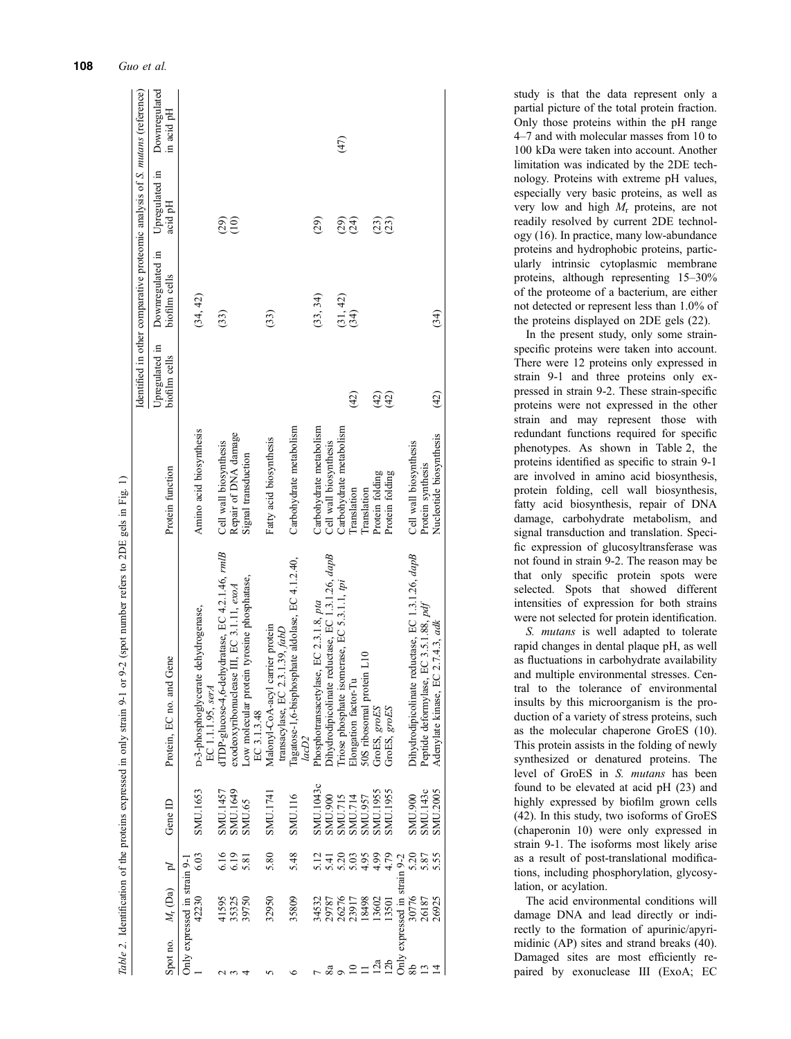|                 |                              |                |                 | 9-2 (spot number refers to 2DE gels in Fig. 1)<br>Table 2. Identification of the proteins expressed in only strain 9-1 or |                                                   |                                 |                                                                                    |                                                 |                             |
|-----------------|------------------------------|----------------|-----------------|---------------------------------------------------------------------------------------------------------------------------|---------------------------------------------------|---------------------------------|------------------------------------------------------------------------------------|-------------------------------------------------|-----------------------------|
|                 |                              |                |                 |                                                                                                                           |                                                   |                                 | Identified in other comparative proteomic analysis of <i>S. mutans</i> (reference) |                                                 |                             |
| Spot no.        | $M_r$ (Da)                   | Jd             | Gene ID         | Gene<br>Protein, EC no. and                                                                                               | Protein function                                  | Upregulated in<br>biofilm cells | Downregulated in<br>biofilm cells                                                  | Upregulated in<br>acid pH                       | Downregulated<br>in acid pH |
|                 | Only expressed in strain 9-1 |                |                 |                                                                                                                           |                                                   |                                 |                                                                                    |                                                 |                             |
|                 | 42230                        | 6.03           | SMU.1653        | D-3-phosphoglycerate dehydrogenase,<br>EC 1.1.1.95, serA                                                                  | Amino acid biosynthesis                           |                                 | (34, 42)                                                                           |                                                 |                             |
|                 | 41595                        |                | SMU.1457        | dTDP-glucose-4,6-dehydratase, EC 4.2.1.46, rmlB                                                                           | Cell wall biosynthesis                            |                                 | (33)                                                                               |                                                 |                             |
|                 | 35325                        | 6.16           | SMU.1649        | exodeoxyribonuclease III, EC 3.1.11, exoA                                                                                 | Repair of DNA damage                              |                                 |                                                                                    | $\begin{smallmatrix} 29 \ 20 \end{smallmatrix}$ |                             |
|                 | 39750                        | 5.81           | SMU.65          | Low molecular protein tyrosine phosphatase,<br>EC 3.1.3.48                                                                | Signal transduction                               |                                 |                                                                                    |                                                 |                             |
|                 | 32950                        | 5.80           | SMU.1741        | Malonyl-CoA-acyl carrier protein<br>transacylase, EC 2.3.1.39, fabD                                                       | Fatty acid biosynthesis                           |                                 | (33)                                                                               |                                                 |                             |
|                 | 35809                        | 5.48           | SMU.116         | Tagatose-1,6-bisphosphate aldolase, EC 4.1.2.40,<br>lacD2                                                                 | Carbohydrate metabolism                           |                                 |                                                                                    |                                                 |                             |
|                 | 34532                        |                | SMU.1043c       | Phosphotransacetylase, EC 2.3.1.8, pta                                                                                    | Carbohydrate metabolism                           |                                 | (33, 34)                                                                           | (29)                                            |                             |
|                 | 29787                        | 5.12           | <b>SMU.900</b>  | Dihydrodipicolinate reductase, EC 1.3.1.26, dapB                                                                          |                                                   |                                 |                                                                                    |                                                 |                             |
|                 | 26276<br>23917               | 5.20           | <b>SMU.715</b>  | Triose phosphate isomerase, EC 5.3.1.1, pi                                                                                | Cell wall biosynthesis<br>Carbohydrate metabolism |                                 |                                                                                    |                                                 | (47)                        |
|                 |                              |                | SMU.714         | Elongation factor-Tu                                                                                                      | Translation                                       | (42)                            | $(31, 42)$<br>$(34)$                                                               | <u>ର୍</u> ପି                                    |                             |
|                 | 18498                        | $4.95$<br>4.99 | <b>SMU.957</b>  | 50S ribosomal protein L10                                                                                                 | Translation                                       |                                 |                                                                                    |                                                 |                             |
| 12a             | 13602                        |                | SMU.1955        | GroES, groES                                                                                                              | Protein folding                                   |                                 |                                                                                    |                                                 |                             |
| 12 <sub>b</sub> | 13501                        | 4.79           | <b>SMU.1955</b> | GroES, groES                                                                                                              | Protein folding                                   | ହିହି                            |                                                                                    | <u>යි</u><br>(23)                               |                             |
|                 | Only expressed in strain 9-2 |                |                 |                                                                                                                           |                                                   |                                 |                                                                                    |                                                 |                             |
| $\frac{8}{2}$   | 30776                        | 5.20           | <b>SMU.900</b>  | reductase, EC 1.3.1.26, dapB<br>Dihydrodipicolinate                                                                       | Cell wall biosynthesis                            |                                 |                                                                                    |                                                 |                             |
|                 | 26187                        | 5.87           | <b>SMU.143c</b> | Peptide deformylase, EC 3.5.1.88, pdf                                                                                     | Protein synthesis                                 |                                 |                                                                                    |                                                 |                             |
|                 | 26925                        | 5.55           | <b>SMU.2005</b> | Adenylate kinase, EC 2.7.4.3, adk                                                                                         | Nucleotide biosynthesis                           | (42)                            | (34)                                                                               |                                                 |                             |
|                 |                              |                |                 |                                                                                                                           |                                                   |                                 |                                                                                    |                                                 |                             |

study is that the data represent only a partial picture of the total protein fraction. Only those proteins within the pH range 4–7 and with molecular masses from 10 to 100 kDa were taken into account. Another limitation was indicated by the 2DE technology. Proteins with extreme pH values, especially very basic proteins, as well as very low and high  $M_r$  proteins, are not readily resolved by current 2DE technology (16). In practice, many low-abundance proteins and hydrophobic proteins, particularly intrinsic cytoplasmic membrane proteins, although representing 15–30% of the proteome of a bacterium, are either not detected or represent less than 1.0% of the proteins displayed on 2DE gels (22).

In the present study, only some strainspecific proteins were taken into account. There were 12 proteins only expressed in strain 9-1 and three proteins only expressed in strain 9-2. These strain-specific proteins were not expressed in the other strain and may represent those with redundant functions required for specific phenotypes. As shown in Table 2, the proteins identified as specific to strain 9-1 are involved in amino acid biosynthesis, protein folding, cell wall biosynthesis, fatty acid biosynthesis, repair of DNA damage, carbohydrate metabolism, and signal transduction and translation. Specific expression of glucosyltransferase was not found in strain 9-2. The reason may be that only specific protein spots were selected. Spots that showed different intensities of expression for both strains were not selected for protein identification.

S. mutans is well adapted to tolerate rapid changes in dental plaque pH, as well as fluctuations in carbohydrate availability and multiple environmental stresses. Central to the tolerance of environmental insults by this microorganism is the production of a variety of stress proteins, such as the molecular chaperone GroES (10). This protein assists in the folding of newly synthesized or denatured proteins. The level of GroES in S. mutans has been found to be elevated at acid pH (23) and highly expressed by biofilm grown cells (42). In this study, two isoforms of GroES (chaperonin 10) were only expressed in strain 9-1. The isoforms most likely arise as a result of post-translational modifications, including phosphorylation, glycosylation, or acylation.

The acid environmental conditions will damage DNA and lead directly or indirectly to the formation of apurinic/apyrimidinic (AP) sites and strand breaks (40). Damaged sites are most efficiently repaired by exonuclease III (ExoA; EC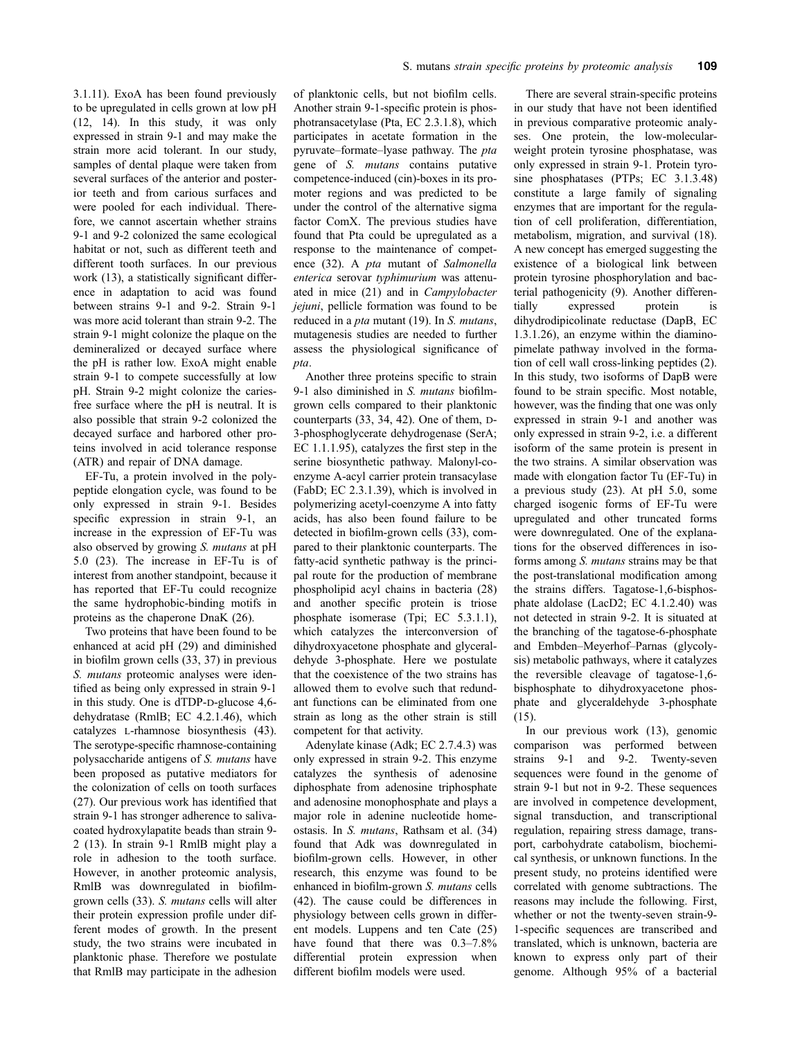3.1.11). ExoA has been found previously to be upregulated in cells grown at low pH (12, 14). In this study, it was only expressed in strain 9-1 and may make the strain more acid tolerant. In our study, samples of dental plaque were taken from several surfaces of the anterior and posterior teeth and from carious surfaces and were pooled for each individual. Therefore, we cannot ascertain whether strains 9-1 and 9-2 colonized the same ecological habitat or not, such as different teeth and different tooth surfaces. In our previous work (13), a statistically significant difference in adaptation to acid was found between strains 9-1 and 9-2. Strain 9-1 was more acid tolerant than strain 9-2. The strain 9-1 might colonize the plaque on the demineralized or decayed surface where the pH is rather low. ExoA might enable strain 9-1 to compete successfully at low pH. Strain 9-2 might colonize the cariesfree surface where the pH is neutral. It is also possible that strain 9-2 colonized the decayed surface and harbored other proteins involved in acid tolerance response (ATR) and repair of DNA damage.

EF-Tu, a protein involved in the polypeptide elongation cycle, was found to be only expressed in strain 9-1. Besides specific expression in strain 9-1, an increase in the expression of EF-Tu was also observed by growing S. mutans at pH 5.0 (23). The increase in EF-Tu is of interest from another standpoint, because it has reported that EF-Tu could recognize the same hydrophobic-binding motifs in proteins as the chaperone DnaK (26).

Two proteins that have been found to be enhanced at acid pH (29) and diminished in biofilm grown cells (33, 37) in previous S. *mutans* proteomic analyses were identified as being only expressed in strain 9-1 in this study. One is dTDP-D-glucose 4,6dehydratase (RmlB; EC 4.2.1.46), which catalyzes l-rhamnose biosynthesis (43). The serotype-specific rhamnose-containing polysaccharide antigens of S. mutans have been proposed as putative mediators for the colonization of cells on tooth surfaces (27). Our previous work has identified that strain 9-1 has stronger adherence to salivacoated hydroxylapatite beads than strain 9- 2 (13). In strain 9-1 RmlB might play a role in adhesion to the tooth surface. However, in another proteomic analysis, RmlB was downregulated in biofilmgrown cells (33). S. mutans cells will alter their protein expression profile under different modes of growth. In the present study, the two strains were incubated in planktonic phase. Therefore we postulate that RmlB may participate in the adhesion of planktonic cells, but not biofilm cells. Another strain 9-1-specific protein is phosphotransacetylase (Pta, EC 2.3.1.8), which participates in acetate formation in the pyruvate–formate–lyase pathway. The pta gene of S. mutans contains putative competence-induced (cin)-boxes in its promoter regions and was predicted to be under the control of the alternative sigma factor ComX. The previous studies have found that Pta could be upregulated as a response to the maintenance of competence (32). A pta mutant of Salmonella enterica serovar typhimurium was attenuated in mice (21) and in Campylobacter jejuni, pellicle formation was found to be reduced in a *pta* mutant (19). In S. mutans, mutagenesis studies are needed to further assess the physiological significance of pta.

Another three proteins specific to strain 9-1 also diminished in S. mutans biofilmgrown cells compared to their planktonic counterparts  $(33, 34, 42)$ . One of them, D-3-phosphoglycerate dehydrogenase (SerA; EC 1.1.1.95), catalyzes the first step in the serine biosynthetic pathway. Malonyl-coenzyme A-acyl carrier protein transacylase (FabD; EC 2.3.1.39), which is involved in polymerizing acetyl-coenzyme A into fatty acids, has also been found failure to be detected in biofilm-grown cells (33), compared to their planktonic counterparts. The fatty-acid synthetic pathway is the principal route for the production of membrane phospholipid acyl chains in bacteria (28) and another specific protein is triose phosphate isomerase (Tpi; EC 5.3.1.1), which catalyzes the interconversion of dihydroxyacetone phosphate and glyceraldehyde 3-phosphate. Here we postulate that the coexistence of the two strains has allowed them to evolve such that redundant functions can be eliminated from one strain as long as the other strain is still competent for that activity.

Adenylate kinase (Adk; EC 2.7.4.3) was only expressed in strain 9-2. This enzyme catalyzes the synthesis of adenosine diphosphate from adenosine triphosphate and adenosine monophosphate and plays a major role in adenine nucleotide homeostasis. In S. mutans, Rathsam et al. (34) found that Adk was downregulated in biofilm-grown cells. However, in other research, this enzyme was found to be enhanced in biofilm-grown S. mutans cells (42). The cause could be differences in physiology between cells grown in different models. Luppens and ten Cate (25) have found that there was  $0.3-7.8\%$ differential protein expression when different biofilm models were used.

There are several strain-specific proteins in our study that have not been identified in previous comparative proteomic analyses. One protein, the low-molecularweight protein tyrosine phosphatase, was only expressed in strain 9-1. Protein tyrosine phosphatases (PTPs; EC 3.1.3.48) constitute a large family of signaling enzymes that are important for the regulation of cell proliferation, differentiation, metabolism, migration, and survival (18). A new concept has emerged suggesting the existence of a biological link between protein tyrosine phosphorylation and bacterial pathogenicity (9). Another differentially expressed protein is dihydrodipicolinate reductase (DapB, EC 1.3.1.26), an enzyme within the diaminopimelate pathway involved in the formation of cell wall cross-linking peptides (2). In this study, two isoforms of DapB were found to be strain specific. Most notable, however, was the finding that one was only expressed in strain 9-1 and another was only expressed in strain 9-2, i.e. a different isoform of the same protein is present in the two strains. A similar observation was made with elongation factor Tu (EF-Tu) in a previous study (23). At pH 5.0, some charged isogenic forms of EF-Tu were upregulated and other truncated forms were downregulated. One of the explanations for the observed differences in isoforms among S. mutans strains may be that the post-translational modification among the strains differs. Tagatose-1,6-bisphosphate aldolase (LacD2; EC 4.1.2.40) was not detected in strain 9-2. It is situated at the branching of the tagatose-6-phosphate and Embden–Meyerhof–Parnas (glycolysis) metabolic pathways, where it catalyzes the reversible cleavage of tagatose-1,6 bisphosphate to dihydroxyacetone phosphate and glyceraldehyde 3-phosphate (15).

In our previous work (13), genomic comparison was performed between strains 9-1 and 9-2. Twenty-seven sequences were found in the genome of strain 9-1 but not in 9-2. These sequences are involved in competence development, signal transduction, and transcriptional regulation, repairing stress damage, transport, carbohydrate catabolism, biochemical synthesis, or unknown functions. In the present study, no proteins identified were correlated with genome subtractions. The reasons may include the following. First, whether or not the twenty-seven strain-9- 1-specific sequences are transcribed and translated, which is unknown, bacteria are known to express only part of their genome. Although 95% of a bacterial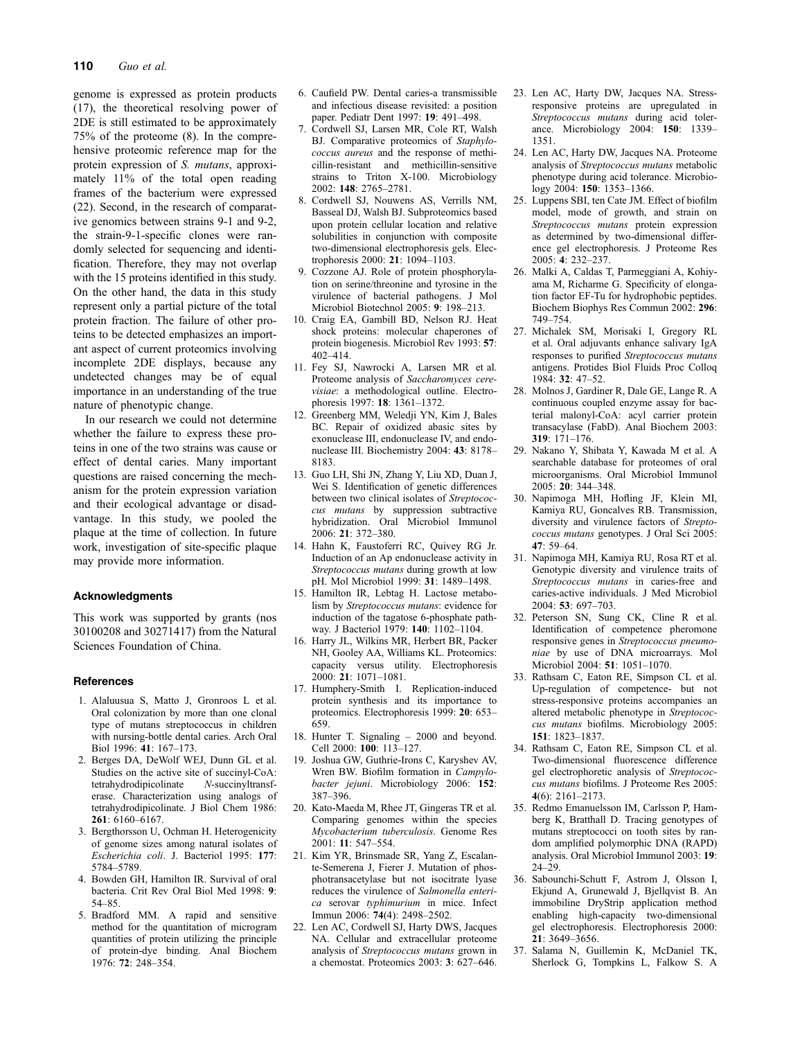genome is expressed as protein products (17), the theoretical resolving power of 2DE is still estimated to be approximately 75% of the proteome (8). In the comprehensive proteomic reference map for the protein expression of S. mutans, approximately 11% of the total open reading frames of the bacterium were expressed (22). Second, in the research of comparative genomics between strains 9-1 and 9-2, the strain-9-1-specific clones were randomly selected for sequencing and identification. Therefore, they may not overlap with the 15 proteins identified in this study. On the other hand, the data in this study represent only a partial picture of the total protein fraction. The failure of other proteins to be detected emphasizes an important aspect of current proteomics involving incomplete 2DE displays, because any undetected changes may be of equal importance in an understanding of the true nature of phenotypic change.

In our research we could not determine whether the failure to express these proteins in one of the two strains was cause or effect of dental caries. Many important questions are raised concerning the mechanism for the protein expression variation and their ecological advantage or disadvantage. In this study, we pooled the plaque at the time of collection. In future work, investigation of site-specific plaque may provide more information.

## Acknowledgments

This work was supported by grants (nos 30100208 and 30271417) from the Natural Sciences Foundation of China.

## **References**

- 1. Alaluusua S, Matto J, Gronroos L et al. Oral colonization by more than one clonal type of mutans streptococcus in children with nursing-bottle dental caries. Arch Oral Biol 1996: 41: 167–173.
- 2. Berges DA, DeWolf WEJ, Dunn GL et al. Studies on the active site of succinyl-CoA:<br>tetrahydrodipicolinate M-succinyltransftetrahydrodipicolinate erase. Characterization using analogs of tetrahydrodipicolinate. J Biol Chem 1986: 261: 6160–6167.
- 3. Bergthorsson U, Ochman H. Heterogenicity of genome sizes among natural isolates of Escherichia coli. J. Bacteriol 1995: 177: 5784–5789.
- 4. Bowden GH, Hamilton IR. Survival of oral bacteria. Crit Rev Oral Biol Med 1998: 9: 54–85.
- 5. Bradford MM. A rapid and sensitive method for the quantitation of microgram quantities of protein utilizing the principle of protein-dye binding. Anal Biochem 1976: 72: 248–354.
- 6. Caufield PW. Dental caries-a transmissible and infectious disease revisited: a position paper. Pediatr Dent 1997: 19: 491–498.
- 7. Cordwell SJ, Larsen MR, Cole RT, Walsh BJ. Comparative proteomics of Staphylococcus aureus and the response of methicillin-resistant and methicillin-sensitive strains to Triton X-100. Microbiology 2002: 148: 2765–2781.
- 8. Cordwell SJ, Nouwens AS, Verrills NM, Basseal DJ, Walsh BJ. Subproteomics based upon protein cellular location and relative solubilities in conjunction with composite two-dimensional electrophoresis gels. Electrophoresis 2000: 21: 1094–1103.
- 9. Cozzone AJ. Role of protein phosphorylation on serine/threonine and tyrosine in the virulence of bacterial pathogens. J Mol Microbiol Biotechnol 2005: 9: 198–213.
- 10. Craig EA, Gambill BD, Nelson RJ. Heat shock proteins: molecular chaperones of protein biogenesis. Microbiol Rev 1993: 57: 402–414.
- 11. Fey SJ, Nawrocki A, Larsen MR et al. Proteome analysis of Saccharomyces cerevisiae: a methodological outline. Electrophoresis 1997: 18: 1361–1372.
- 12. Greenberg MM, Weledji YN, Kim J, Bales BC. Repair of oxidized abasic sites by exonuclease III, endonuclease IV, and endonuclease III. Biochemistry 2004: 43: 8178– 8183.
- 13. Guo LH, Shi JN, Zhang Y, Liu XD, Duan J, Wei S. Identification of genetic differences between two clinical isolates of Streptococcus mutans by suppression subtractive hybridization. Oral Microbiol Immunol 2006: 21: 372–380.
- 14. Hahn K, Faustoferri RC, Quivey RG Jr. Induction of an Ap endonuclease activity in Streptococcus mutans during growth at low pH. Mol Microbiol 1999: 31: 1489–1498.
- 15. Hamilton IR, Lebtag H. Lactose metabolism by Streptococcus mutans: evidence for induction of the tagatose 6-phosphate pathway. J Bacteriol 1979: 140: 1102–1104.
- 16. Harry JL, Wilkins MR, Herbert BR, Packer NH, Gooley AA, Williams KL. Proteomics: capacity versus utility. Electrophoresis 2000: 21: 1071–1081.
- 17. Humphery-Smith I. Replication-induced protein synthesis and its importance to proteomics. Electrophoresis 1999: 20: 653– 659.
- 18. Hunter T. Signaling 2000 and beyond. Cell 2000: 100: 113–127.
- 19. Joshua GW, Guthrie-Irons C, Karyshev AV, Wren BW. Biofilm formation in Campylobacter jejuni. Microbiology 2006: 152: 387–396.
- 20. Kato-Maeda M, Rhee JT, Gingeras TR et al. Comparing genomes within the species Mycobacterium tuberculosis. Genome Res 2001: 11: 547–554.
- 21. Kim YR, Brinsmade SR, Yang Z, Escalante-Semerena J, Fierer J. Mutation of phosphotransacetylase but not isocitrate lyase reduces the virulence of Salmonella enterica serovar typhimurium in mice. Infect Immun 2006: 74(4): 2498–2502.
- 22. Len AC, Cordwell SJ, Harty DWS, Jacques NA. Cellular and extracellular proteome analysis of Streptococcus mutans grown in a chemostat. Proteomics 2003: 3: 627–646.
- 23. Len AC, Harty DW, Jacques NA. Stressresponsive proteins are upregulated in Streptococcus mutans during acid tolerance. Microbiology 2004: 150: 1339– 1351.
- 24. Len AC, Harty DW, Jacques NA. Proteome analysis of Streptococcus mutans metabolic phenotype during acid tolerance. Microbiology 2004: 150: 1353–1366.
- 25. Luppens SBI, ten Cate JM. Effect of biofilm model, mode of growth, and strain on Streptococcus mutans protein expression as determined by two-dimensional difference gel electrophoresis. J Proteome Res 2005: 4: 232–237.
- 26. Malki A, Caldas T, Parmeggiani A, Kohiyama M, Richarme G. Specificity of elongation factor EF-Tu for hydrophobic peptides. Biochem Biophys Res Commun 2002: 296: 749–754.
- 27. Michalek SM, Morisaki I, Gregory RL et al. Oral adjuvants enhance salivary IgA responses to purified Streptococcus mutans antigens. Protides Biol Fluids Proc Colloq 1984: 32: 47–52.
- 28. Molnos J, Gardiner R, Dale GE, Lange R. A continuous coupled enzyme assay for bacterial malonyl-CoA: acyl carrier protein transacylase (FabD). Anal Biochem 2003: 319: 171–176.
- 29. Nakano Y, Shibata Y, Kawada M et al. A searchable database for proteomes of oral microorganisms. Oral Microbiol Immunol 2005: 20: 344–348.
- 30. Napimoga MH, Hofling JF, Klein MI, Kamiya RU, Goncalves RB. Transmission, diversity and virulence factors of Streptococcus mutans genotypes. J Oral Sci 2005: 47: 59–64.
- 31. Napimoga MH, Kamiya RU, Rosa RT et al. Genotypic diversity and virulence traits of Streptococcus mutans in caries-free and caries-active individuals. J Med Microbiol 2004: 53: 697–703.
- 32. Peterson SN, Sung CK, Cline R et al. Identification of competence pheromone responsive genes in Streptococcus pneumoniae by use of DNA microarrays. Mol Microbiol 2004: 51: 1051–1070.
- 33. Rathsam C, Eaton RE, Simpson CL et al. Up-regulation of competence- but not stress-responsive proteins accompanies an altered metabolic phenotype in Streptococcus mutans biofilms. Microbiology 2005: 151: 1823–1837.
- 34. Rathsam C, Eaton RE, Simpson CL et al. Two-dimensional fluorescence difference gel electrophoretic analysis of Streptococcus mutans biofilms. J Proteome Res 2005: 4(6): 2161–2173.
- 35. Redmo Emanuelsson IM, Carlsson P, Hamberg K, Bratthall D. Tracing genotypes of mutans streptococci on tooth sites by random amplified polymorphic DNA (RAPD) analysis. Oral Microbiol Immunol 2003: 19: 24–29.
- 36. Sabounchi-Schutt F, Astrom J, Olsson I, Ekjund A, Grunewald J, Bjellqvist B. An immobiline DryStrip application method enabling high-capacity two-dimensional gel electrophoresis. Electrophoresis 2000: 21: 3649–3656.
- 37. Salama N, Guillemin K, McDaniel TK, Sherlock G, Tompkins L, Falkow S. A